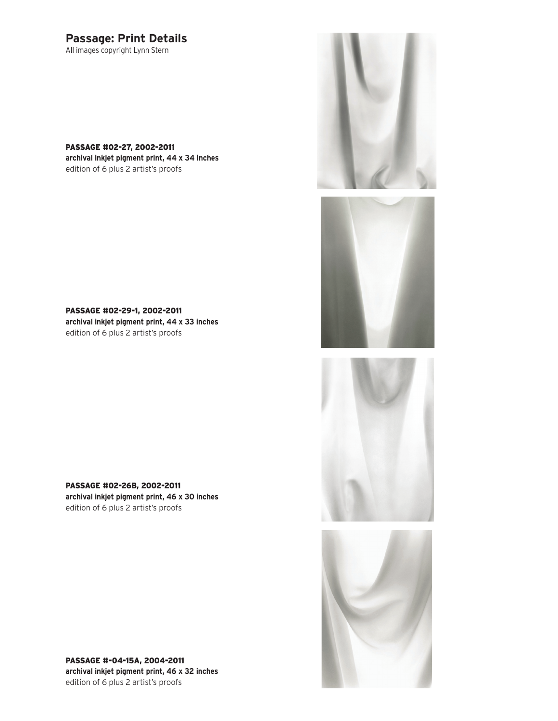## **Passage: Print Details**

All images copyright Lynn Stern

PASSAGE #02-27, 2002-2011 **archival inkjet pigment print, 44 x 34 inches** edition of 6 plus 2 artist's proofs

PASSAGE #02-29-1, 2002-2011 **archival inkjet pigment print, 44 x 33 inches** edition of 6 plus 2 artist's proofs







PASSAGE #02-26B, 2002-2011 **archival inkjet pigment print, 46 x 30 inches** edition of 6 plus 2 artist's proofs

PASSAGE #-04-15A, 2004-2011 **archival inkjet pigment print, 46 x 32 inches** edition of 6 plus 2 artist's proofs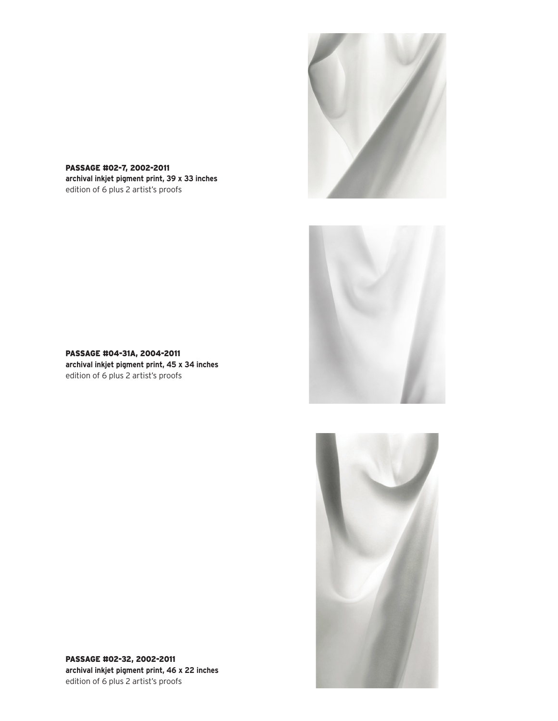





PASSAGE #02-7, 2002-2011 **archival inkjet pigment print, 39 x 33 inches** edition of 6 plus 2 artist's proofs

PASSAGE #04-31A, 2004-2011 **archival inkjet pigment print, 45 x 34 inches** edition of 6 plus 2 artist's proofs

PASSAGE #02-32, 2002-2011 **archival inkjet pigment print, 46 x 22 inches** edition of 6 plus 2 artist's proofs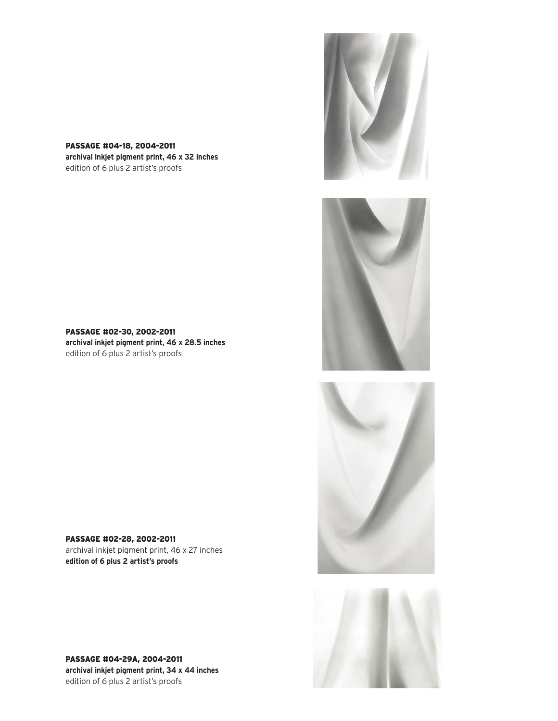PASSAGE #04-18, 2004-2011 **archival inkjet pigment print, 46 x 32 inches** edition of 6 plus 2 artist's proofs

PASSAGE #02-30, 2002-2011 **archival inkjet pigment print, 46 x 28.5 inches** edition of 6 plus 2 artist's proofs

PASSAGE #02-28, 2002-2011 archival inkjet pigment print, 46 x 27 inches **edition of 6 plus 2 artist's proofs**

PASSAGE #04-29A, 2004-2011 **archival inkjet pigment print, 34 x 44 inches** edition of 6 plus 2 artist's proofs